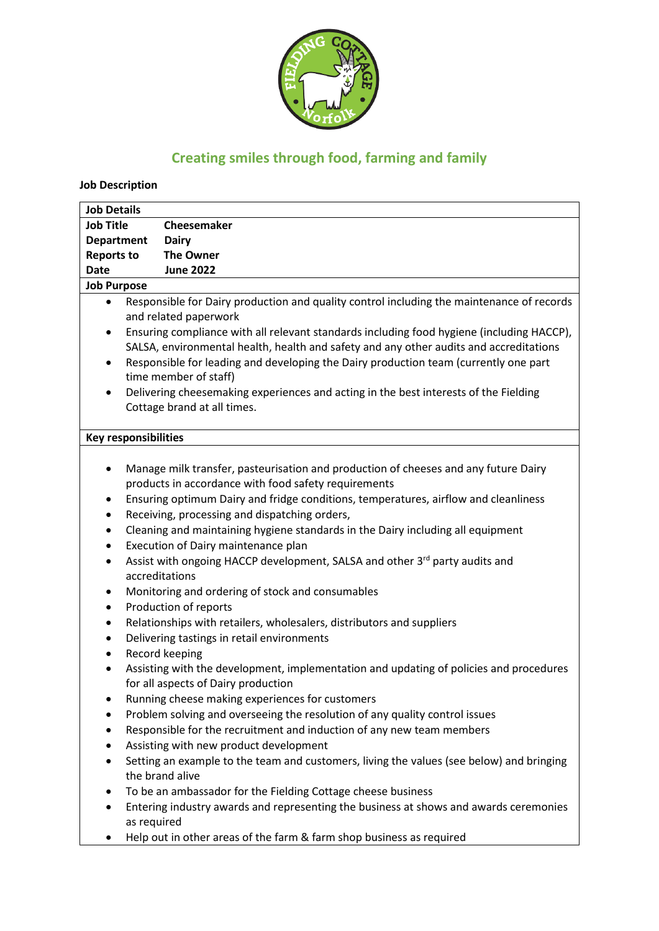

# **Creating smiles through food, farming and family**

**Job Description** 

| <b>Job Details</b>                                                                                |                                                                                           |                                                                                           |
|---------------------------------------------------------------------------------------------------|-------------------------------------------------------------------------------------------|-------------------------------------------------------------------------------------------|
| <b>Job Title</b>                                                                                  |                                                                                           | Cheesemaker                                                                               |
| <b>Department</b>                                                                                 |                                                                                           | <b>Dairy</b>                                                                              |
| <b>Reports to</b>                                                                                 |                                                                                           | <b>The Owner</b>                                                                          |
| <b>Date</b>                                                                                       |                                                                                           | <b>June 2022</b>                                                                          |
| <b>Job Purpose</b>                                                                                |                                                                                           |                                                                                           |
| $\bullet$                                                                                         |                                                                                           | Responsible for Dairy production and quality control including the maintenance of records |
|                                                                                                   | and related paperwork                                                                     |                                                                                           |
| $\bullet$                                                                                         | Ensuring compliance with all relevant standards including food hygiene (including HACCP), |                                                                                           |
|                                                                                                   | SALSA, environmental health, health and safety and any other audits and accreditations    |                                                                                           |
| Responsible for leading and developing the Dairy production team (currently one part<br>$\bullet$ |                                                                                           |                                                                                           |
| time member of staff)                                                                             |                                                                                           |                                                                                           |
| Delivering cheesemaking experiences and acting in the best interests of the Fielding<br>$\bullet$ |                                                                                           |                                                                                           |
| Cottage brand at all times.                                                                       |                                                                                           |                                                                                           |
|                                                                                                   |                                                                                           |                                                                                           |
| <b>Key responsibilities</b>                                                                       |                                                                                           |                                                                                           |
|                                                                                                   |                                                                                           |                                                                                           |
| $\bullet$                                                                                         |                                                                                           | Manage milk transfer, pasteurisation and production of cheeses and any future Dairy       |
|                                                                                                   |                                                                                           | products in accordance with food safety requirements                                      |
| ٠                                                                                                 | Ensuring optimum Dairy and fridge conditions, temperatures, airflow and cleanliness       |                                                                                           |
| $\bullet$                                                                                         | Receiving, processing and dispatching orders,                                             |                                                                                           |
| $\bullet$                                                                                         | Cleaning and maintaining hygiene standards in the Dairy including all equipment           |                                                                                           |
| $\bullet$                                                                                         | Execution of Dairy maintenance plan                                                       |                                                                                           |
| $\bullet$                                                                                         |                                                                                           | Assist with ongoing HACCP development, SALSA and other 3 <sup>rd</sup> party audits and   |
|                                                                                                   |                                                                                           | accreditations                                                                            |
| ٠                                                                                                 |                                                                                           | Monitoring and ordering of stock and consumables                                          |
| $\bullet$                                                                                         |                                                                                           | Production of reports                                                                     |
| $\bullet$                                                                                         |                                                                                           | Relationships with retailers, wholesalers, distributors and suppliers                     |
| $\bullet$                                                                                         |                                                                                           | Delivering tastings in retail environments                                                |
| $\bullet$                                                                                         |                                                                                           | Record keeping                                                                            |
| $\bullet$                                                                                         |                                                                                           | Assisting with the development, implementation and updating of policies and procedures    |
|                                                                                                   |                                                                                           | for all aspects of Dairy production                                                       |
|                                                                                                   |                                                                                           | Running cheese making experiences for customers                                           |
| $\bullet$                                                                                         |                                                                                           | Problem solving and overseeing the resolution of any quality control issues               |
|                                                                                                   |                                                                                           | Responsible for the recruitment and induction of any new team members                     |
|                                                                                                   |                                                                                           | Assisting with new product development                                                    |
| $\bullet$                                                                                         |                                                                                           | Setting an example to the team and customers, living the values (see below) and bringing  |
|                                                                                                   |                                                                                           | the brand alive                                                                           |
|                                                                                                   |                                                                                           | To be an ambassador for the Fielding Cottage cheese business                              |
|                                                                                                   |                                                                                           | Entering industry awards and representing the business at shows and awards ceremonies     |
|                                                                                                   | as required                                                                               |                                                                                           |
|                                                                                                   |                                                                                           | Help out in other areas of the farm & farm shop business as required                      |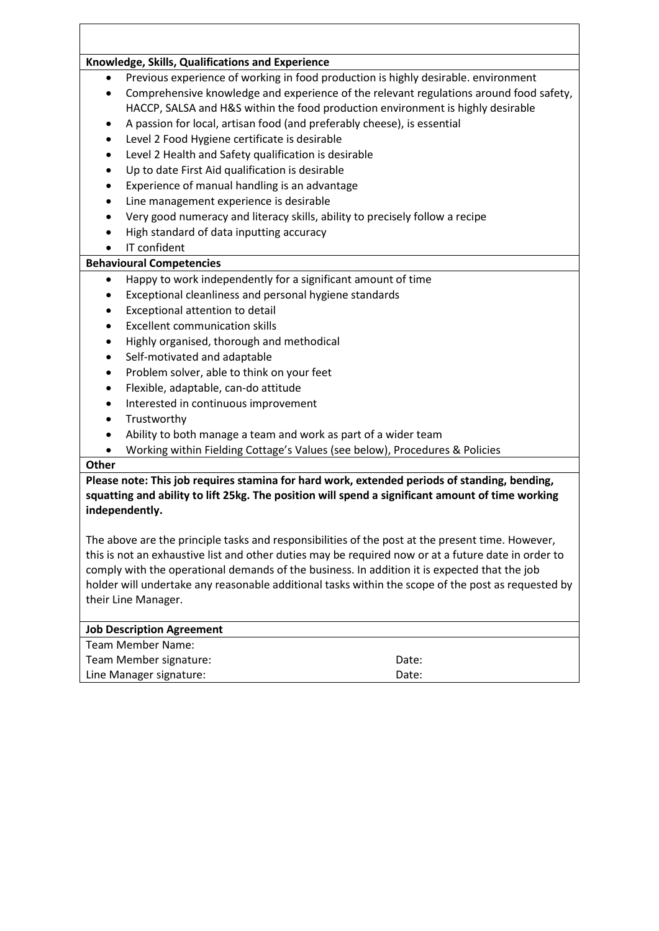#### **Knowledge, Skills, Qualifications and Experience**

- Previous experience of working in food production is highly desirable. environment
- Comprehensive knowledge and experience of the relevant regulations around food safety, HACCP, SALSA and H&S within the food production environment is highly desirable
- A passion for local, artisan food (and preferably cheese), is essential
- Level 2 Food Hygiene certificate is desirable
- Level 2 Health and Safety qualification is desirable
- Up to date First Aid qualification is desirable
- Experience of manual handling is an advantage
- Line management experience is desirable
- Very good numeracy and literacy skills, ability to precisely follow a recipe
- High standard of data inputting accuracy
- IT confident

#### **Behavioural Competencies**

- Happy to work independently for a significant amount of time
- Exceptional cleanliness and personal hygiene standards
- Exceptional attention to detail
- **Excellent communication skills**
- Highly organised, thorough and methodical
- Self-motivated and adaptable
- Problem solver, able to think on your feet
- Flexible, adaptable, can-do attitude
- Interested in continuous improvement
- **Trustworthy**
- Ability to both manage a team and work as part of a wider team
- Working within Fielding Cottage's Values (see below), Procedures & Policies

#### **Other**

**Please note: This job requires stamina for hard work, extended periods of standing, bending, squatting and ability to lift 25kg. The position will spend a significant amount of time working independently.**

The above are the principle tasks and responsibilities of the post at the present time. However, this is not an exhaustive list and other duties may be required now or at a future date in order to comply with the operational demands of the business. In addition it is expected that the job holder will undertake any reasonable additional tasks within the scope of the post as requested by their Line Manager.

# **Job Description Agreement** Team Member Name: Team Member signature: Date: Date: Line Manager signature: Date: